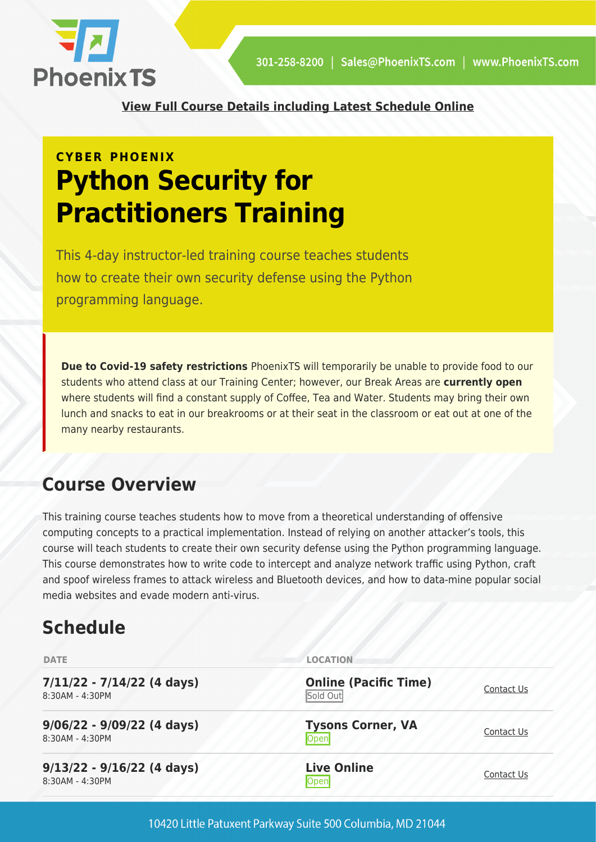

**[View Full Course Details including Latest Schedule Online](https://phoenixts.com/training-courses/python-security-for-practitioners/)**

# **CYBER PHOENIX Python Security for Practitioners Training**

This 4-day instructor-led training course teaches students how to create their own security defense using the Python programming language.

**Due to Covid-19 safety restrictions** PhoenixTS will temporarily be unable to provide food to our students who attend class at our Training Center; however, our Break Areas are **currently open** where students will find a constant supply of Coffee, Tea and Water. Students may bring their own lunch and snacks to eat in our breakrooms or at their seat in the classroom or eat out at one of the many nearby restaurants.

# **Course Overview**

This training course teaches students how to move from a theoretical understanding of offensive computing concepts to a practical implementation. Instead of relying on another attacker's tools, this course will teach students to create their own security defense using the Python programming language. This course demonstrates how to write code to intercept and analyze network traffic using Python, craft and spoof wireless frames to attack wireless and Bluetooth devices, and how to data-mine popular social media websites and evade modern anti-virus.

# **Schedule**

| <b>DATE</b>                                     | <b>LOCATION</b>                          |            |
|-------------------------------------------------|------------------------------------------|------------|
| $7/11/22 - 7/14/22$ (4 days)<br>8:30AM - 4:30PM | <b>Online (Pacific Time)</b><br>Sold Out | Contact Us |
| $9/06/22 - 9/09/22$ (4 days)<br>8:30AM - 4:30PM | <b>Tysons Corner, VA</b><br>Open         | Contact Us |
| $9/13/22 - 9/16/22$ (4 days)<br>8:30AM - 4:30PM | <b>Live Online</b><br>Open               | Contact Us |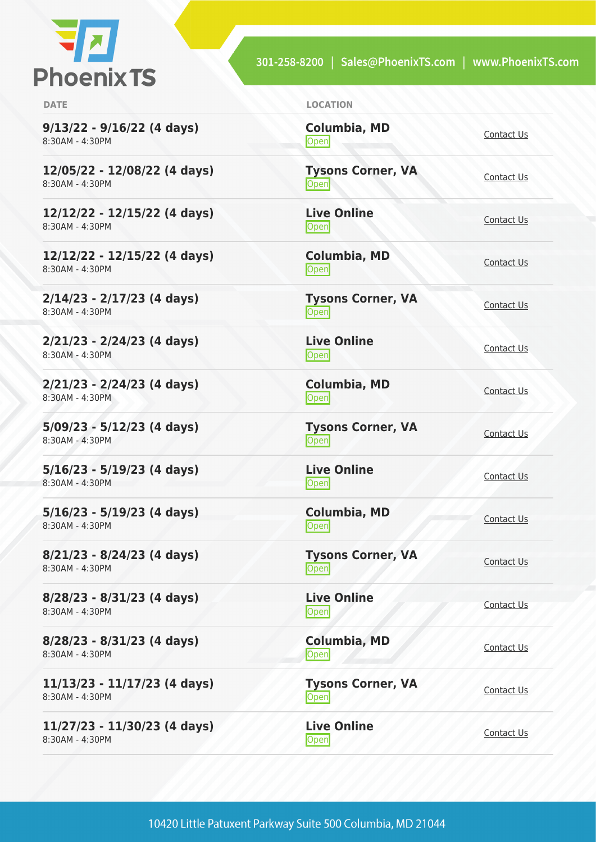

301-258-8200 | Sales@PhoenixTS.com | www.PhoenixTS.com

| <b>DATE</b>                                     | <b>LOCATION</b>                    |            |
|-------------------------------------------------|------------------------------------|------------|
| $9/13/22 - 9/16/22$ (4 days)<br>8:30AM - 4:30PM | <b>Columbia, MD</b><br><b>Open</b> | Contact Us |
| 12/05/22 - 12/08/22 (4 days)<br>8:30AM - 4:30PM | <b>Tysons Corner, VA</b><br>Open   | Contact Us |
| 12/12/22 - 12/15/22 (4 days)<br>8:30AM - 4:30PM | <b>Live Online</b><br><b>Open</b>  | Contact Us |
| 12/12/22 - 12/15/22 (4 days)<br>8:30AM - 4:30PM | <b>Columbia, MD</b><br>Open        | Contact Us |
| $2/14/23 - 2/17/23$ (4 days)<br>8:30AM - 4:30PM | <b>Tysons Corner, VA</b><br>Open   | Contact Us |
| $2/21/23 - 2/24/23$ (4 days)<br>8:30AM - 4:30PM | <b>Live Online</b><br>Open         | Contact Us |
| $2/21/23 - 2/24/23$ (4 days)<br>8:30AM - 4:30PM | <b>Columbia, MD</b><br>Open        | Contact Us |
| $5/09/23 - 5/12/23$ (4 days)<br>8:30AM - 4:30PM | <b>Tysons Corner, VA</b><br>Open   | Contact Us |
| $5/16/23 - 5/19/23$ (4 days)<br>8:30AM - 4:30PM | <b>Live Online</b><br>Open         | Contact Us |
| $5/16/23 - 5/19/23$ (4 days)<br>8:30AM - 4:30PM | <b>Columbia, MD</b><br><b>Open</b> | Contact Us |
| $8/21/23 - 8/24/23$ (4 days)<br>8:30AM - 4:30PM | <b>Tysons Corner, VA</b><br>Open   | Contact Us |
| 8/28/23 - 8/31/23 (4 days)<br>8:30AM - 4:30PM   | <b>Live Online</b><br>Open         | Contact Us |
| 8/28/23 - 8/31/23 (4 days)<br>8:30AM - 4:30PM   | Columbia, MD<br>Open               | Contact Us |
| 11/13/23 - 11/17/23 (4 days)<br>8:30AM - 4:30PM | <b>Tysons Corner, VA</b><br>Open   | Contact Us |
| 11/27/23 - 11/30/23 (4 days)<br>8:30AM - 4:30PM | <b>Live Online</b><br>Open         | Contact Us |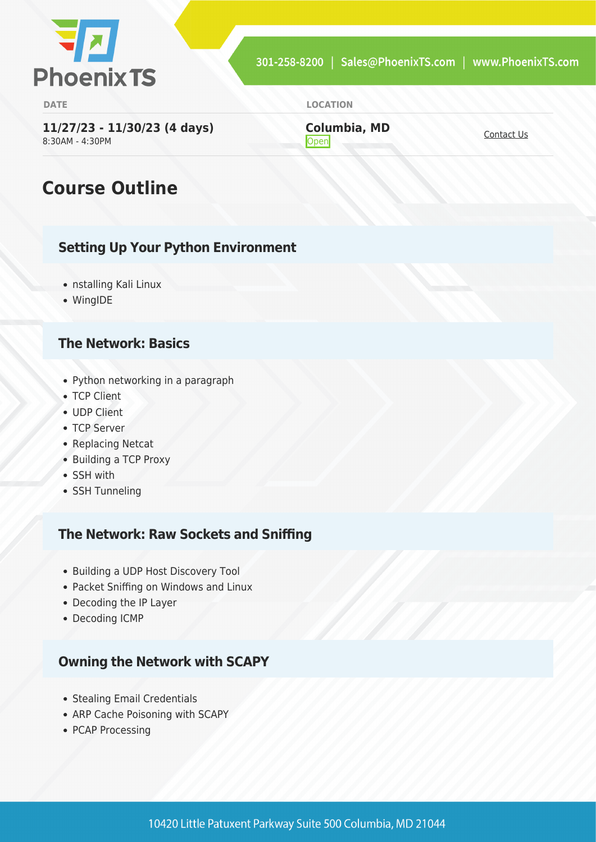

**DATE LOCATION**

**11/27/23 - 11/30/23 (4 days)** 8:30AM - 4:30PM

**Columbia, MD [Contact Us](https://phoenixts.com/schedule/more-info/?class=31368)** 

# **Course Outline**

#### **Setting Up Your Python Environment**

- nstalling Kali Linux
- WingIDE

#### **The Network: Basics**

- Python networking in a paragraph
- TCP Client
- UDP Client
- TCP Server
- Replacing Netcat
- Building a TCP Proxy
- SSH with
- SSH Tunneling

#### **The Network: Raw Sockets and Sniffing**

- Building a UDP Host Discovery Tool
- Packet Sniffing on Windows and Linux
- Decoding the IP Layer
- Decoding ICMP

#### **Owning the Network with SCAPY**

- Stealing Email Credentials
- ARP Cache Poisoning with SCAPY
- PCAP Processing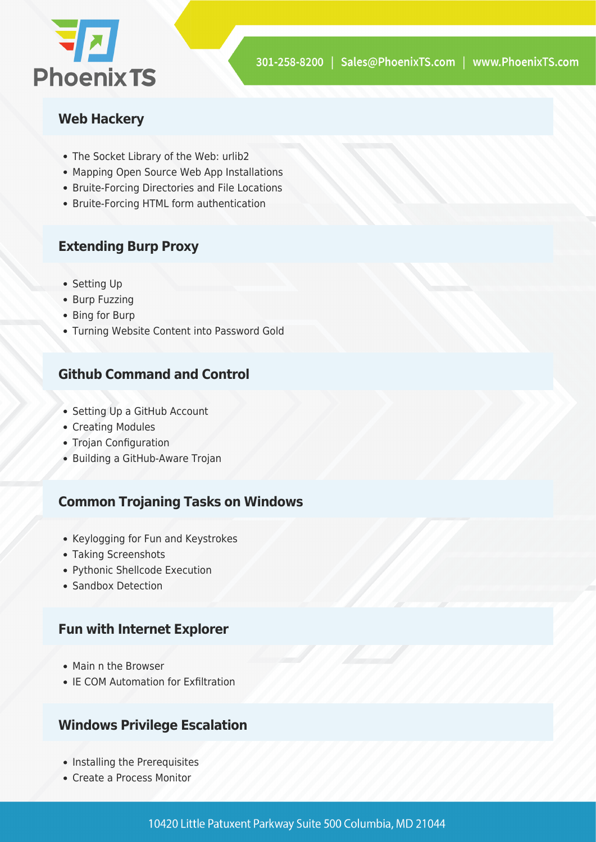

#### **Web Hackery**

- The Socket Library of the Web: urlib2
- Mapping Open Source Web App Installations
- Bruite-Forcing Directories and File Locations
- Bruite-Forcing HTML form authentication

#### **Extending Burp Proxy**

- Setting Up
- Burp Fuzzing
- Bing for Burp
- Turning Website Content into Password Gold

#### **Github Command and Control**

- Setting Up a GitHub Account
- Creating Modules
- Trojan Configuration
- Building a GitHub-Aware Trojan

#### **Common Trojaning Tasks on Windows**

- Keylogging for Fun and Keystrokes
- Taking Screenshots
- Pythonic Shellcode Execution
- Sandbox Detection

#### **Fun with Internet Explorer**

- Main n the Browser
- IE COM Automation for Exfiltration

#### **Windows Privilege Escalation**

- Installing the Prerequisites
- Create a Process Monitor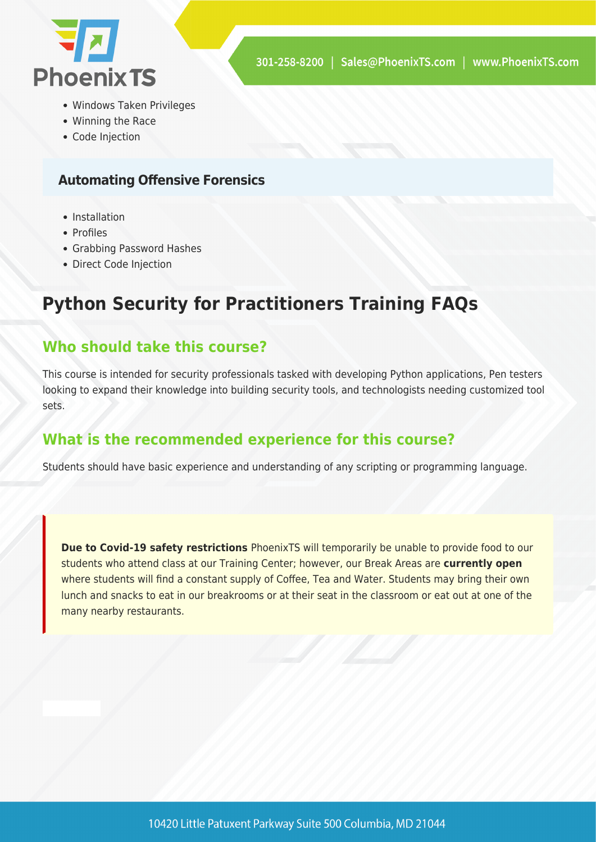

- Windows Taken Privileges
- Winning the Race
- Code Injection

#### **Automating Offensive Forensics**

- Installation
- Profiles
- Grabbing Password Hashes
- Direct Code Injection

## **Python Security for Practitioners Training FAQs**

### **Who should take this course?**

This course is intended for security professionals tasked with developing Python applications, Pen testers looking to expand their knowledge into building security tools, and technologists needing customized tool sets.

### **What is the recommended experience for this course?**

Students should have basic experience and understanding of any scripting or programming language.

**Due to Covid-19 safety restrictions** PhoenixTS will temporarily be unable to provide food to our students who attend class at our Training Center; however, our Break Areas are **currently open** where students will find a constant supply of Coffee, Tea and Water. Students may bring their own lunch and snacks to eat in our breakrooms or at their seat in the classroom or eat out at one of the many nearby restaurants.